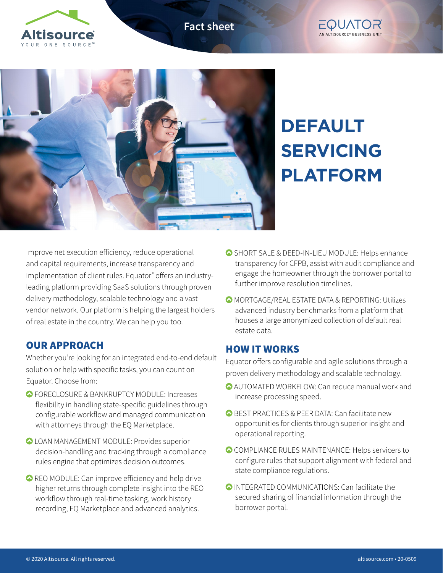**Fact sheet**







# **DEFAULT SERVICING PLATFORM**

Improve net execution efficiency, reduce operational and capital requirements, increase transparency and implementation of client rules. Equator® offers an industryleading platform providing SaaS solutions through proven delivery methodology, scalable technology and a vast vendor network. Our platform is helping the largest holders of real estate in the country. We can help you too.

## OUR APPROACH

Whether you're looking for an integrated end-to-end default solution or help with specific tasks, you can count on Equator. Choose from:

- **O** FORECLOSURE & BANKRUPTCY MODULE: Increases flexibility in handling state-specific guidelines through configurable workflow and managed communication with attorneys through the EQ Marketplace.
- **OLOAN MANAGEMENT MODULE: Provides superior** decision-handling and tracking through a compliance rules engine that optimizes decision outcomes.
- REO MODULE: Can improve efficiency and help drive higher returns through complete insight into the REO workflow through real-time tasking, work history recording, EQ Marketplace and advanced analytics.
- SHORT SALE & DEED-IN-LIEU MODULE: Helps enhance transparency for CFPB, assist with audit compliance and engage the homeowner through the borrower portal to further improve resolution timelines.
- MORTGAGE/REAL ESTATE DATA & REPORTING: Utilizes advanced industry benchmarks from a platform that houses a large anonymized collection of default real estate data.

#### HOW IT WORKS

Equator offers configurable and agile solutions through a proven delivery methodology and scalable technology.

- AUTOMATED WORKFLOW: Can reduce manual work and increase processing speed.
- **O BEST PRACTICES & PEER DATA: Can facilitate new** opportunities for clients through superior insight and operational reporting.
- COMPLIANCE RULES MAINTENANCE: Helps servicers to configure rules that support alignment with federal and state compliance regulations.
- INTEGRATED COMMUNICATIONS: Can facilitate the secured sharing of financial information through the borrower portal.